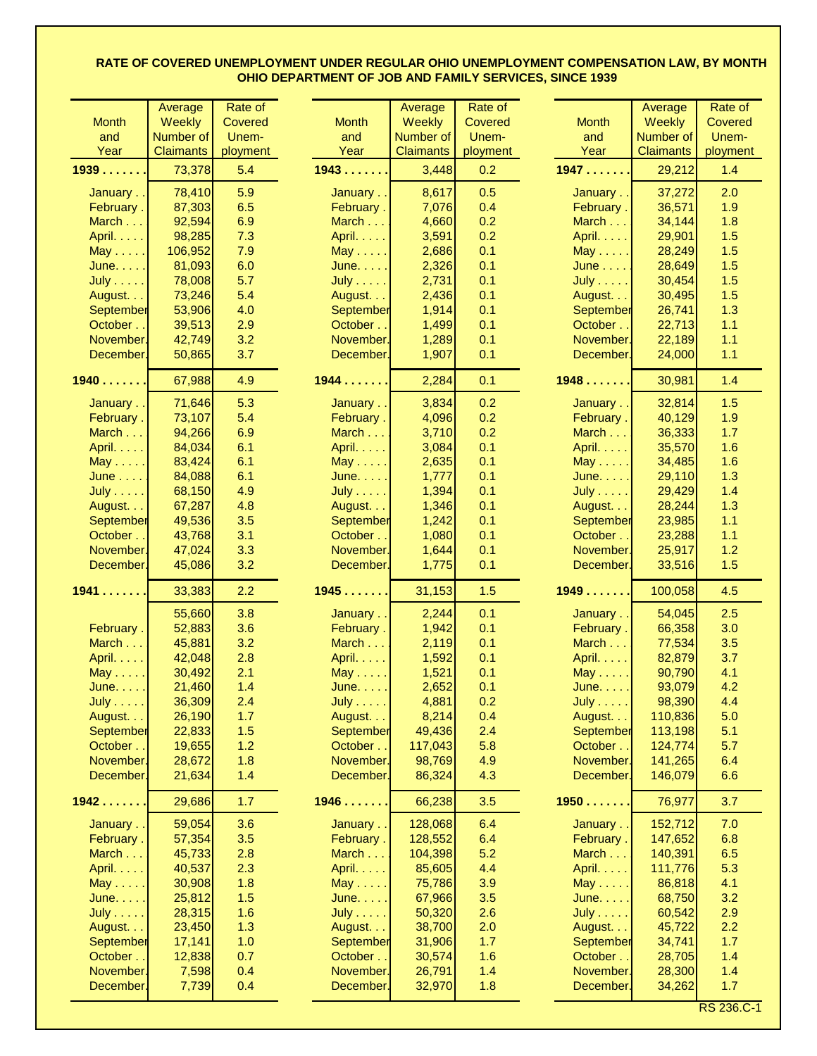|                  | Average          | Rate of        |                  | Average          | Rate of  |                  | Average          | Rate of        |
|------------------|------------------|----------------|------------------|------------------|----------|------------------|------------------|----------------|
| <b>Month</b>     | <b>Weekly</b>    | <b>Covered</b> | <b>Month</b>     | <b>Weekly</b>    | Covered  | <b>Month</b>     | <b>Weekly</b>    | <b>Covered</b> |
| and              | Number of        | Unem-          | and              | Number of        | Unem-    | and              | Number of        | Unem-          |
| Year             | <b>Claimants</b> | ployment       | Year             | <b>Claimants</b> | ployment | Year             | <b>Claimants</b> | ployment       |
| 1939             | 73,378           | 5.4            | 1943             | 3,448            | 0.2      | 1947             | 29,212           | 1.4            |
|                  |                  |                |                  |                  |          |                  |                  |                |
| January          | 78,410           | 5.9            | January          | 8,617            | 0.5      | January          | 37,272           | 2.0            |
| February.        | 87,303           | 6.5            | February.        | 7,076            | 0.4      | February.        | 36,571           | 1.9            |
| March            | 92,594           | 6.9            | March            | 4,660            | 0.2      | March            | 34,144           | 1.8            |
| April.           | 98,285           | 7.3            | April.           | 3,591            | 0.2      | April.           | 29,901           | 1.5            |
| $May \ldots$ .   | 106,952          | 7.9            | $May \ldots$ .   | 2,686            | 0.1      | $May \ldots$ .   | 28,249           | 1.5            |
| June.            | 81,093           | 6.0            | June.            | 2,326            | 0.1      | $June \dots$ .   | 28,649           | 1.5            |
| $July \dots$ .   | 78,008           | 5.7            | July             | 2,731            | 0.1      | July             | 30,454           | 1.5            |
| August.          | 73,246           | 5.4            | August.          | 2,436            | 0.1      | August.          | 30,495           | 1.5            |
| <b>September</b> | 53,906           | 4.0            | September        | 1,914            | 0.1      | September        | 26,741           | 1.3            |
| October.         | 39,513           | 2.9            | October          | 1,499            | 0.1      | October          | 22,713           | 1.1            |
| November.        | 42,749           | 3.2            | November.        | 1,289            | 0.1      | November.        | 22,189           | 1.1            |
| December.        | 50,865           | 3.7            | December.        | 1,907            | 0.1      | December.        | 24,000           | 1.1            |
| 1940             | 67,988           | 4.9            | 1944             | 2,284            | 0.1      | 1948             | 30,981           | 1.4            |
| January          | 71,646           | 5.3            | January          | 3,834            | 0.2      | January          | 32,814           | 1.5            |
| February.        | 73,107           | 5.4            | February.        | 4,096            | 0.2      | February.        | 40,129           | 1.9            |
| March            | 94,266           | 6.9            | March            | 3,710            | 0.2      | March            | 36,333           | 1.7            |
| April.           | 84,034           | 6.1            | April.           | 3,084            | 0.1      | April.           | 35,570           | 1.6            |
| $May \dots$ .    | 83,424           | 6.1            | $May \dots$ .    | 2,635            | 0.1      | $May \ldots$ .   | 34,485           | 1.6            |
| <b>June</b>      | 84,088           | 6.1            | June.            | 1,777            | 0.1      | June.            | 29,110           | 1.3            |
| <b>July</b>      | 68,150           | 4.9            | <b>July  </b>    | 1,394            | 0.1      | July I           | 29,429           | 1.4            |
| August.          | 67,287           | 4.8            | August.          | 1,346            | 0.1      | August.          | 28,244           | 1.3            |
| <b>September</b> | 49,536           | 3.5            | September        | 1,242            | 0.1      | <b>September</b> | 23,985           | 1.1            |
| October          | 43,768           | 3.1            | October          | 1,080            | 0.1      | October          | 23,288           | 1.1            |
| November.        | 47,024           | 3.3            | November.        | 1,644            | 0.1      | November.        | 25,917           | 1.2            |
| December.        | 45,086           | 3.2            | December.        | 1,775            | 0.1      | December.        | 33,516           | 1.5            |
|                  |                  |                |                  |                  |          |                  |                  |                |
| $1941$           | 33,383           | 2.2            | 1945             | 31,153           | 1.5      | 1949             | 100,058          | 4.5            |
|                  | 55,660           | 3.8            | January          | 2,244            | 0.1      | January          | 54,045           | 2.5            |
| February.        | 52,883           | 3.6            | February.        | 1,942            | 0.1      | February.        | 66,358           | 3.0            |
| March            | 45,881           | 3.2            | March            | 2,119            | 0.1      | March I          | 77,534           | 3.5            |
| April.           | 42,048           | 2.8            | April.           | 1,592            | 0.1      | April.           | 82,879           | 3.7            |
| May $\dots$ .    | 30,492           | 2.1            | May $\dots$ .    | 1,521            | 0.1      | May $\dots$ .    | 90,790           | 4.1            |
| June.            | 21,460           | 1.4            | June.            | 2,652            | 0.1      | June.            | 93,079           | 4.2            |
| $July \dots .$   | 36,309           | 2.4            | <b>July</b>      | 4,881            | 0.2      | July             | 98,390           | 4.4            |
| August           | 26,190           | 1.7            | August           | 8,214            | 0.4      | August           | 110,836          | 5.0            |
| <b>September</b> | 22,833           | 1.5            | September        | 49,436           | 2.4      | September        | 113,198          | 5.1            |
| October          | 19,655           | 1.2            | October          | 117,043          | 5.8      | October          | 124,774          | 5.7            |
| November.        | 28,672           | 1.8            | November.        | 98,769           | 4.9      | November.        | 141,265          | 6.4            |
| December.        | 21,634           | 1.4            | December.        | 86,324           | 4.3      | December.        | 146,079          | 6.6            |
| 1942             | 29,686           | 1.7            | 1946             | 66,238           | 3.5      | 1950             | 76,977           | 3.7            |
| January          | 59,054           | 3.6            | January          | 128,068          | 6.4      | January          | 152,712          | 7.0            |
| February.        | 57,354           | 3.5            | February.        | 128,552          | 6.4      | February.        | 147,652          | 6.8            |
| March            | 45,733           | 2.8            | March            | 104,398          | 5.2      | March            | 140,391          | 6.5            |
| April.           | 40,537           | 2.3            | April. $\dots$ . | 85,605           | 4.4      | April. $\ldots$  | 111,776          | 5.3            |
| May $\dots$ .    | 30,908           | 1.8            | $May \ldots$ .   | 75,786           | 3.9      | $May \dots$      | 86,818           | 4.1            |
| June.            | 25,812           | 1.5            | June.            | 67,966           | 3.5      | June.            | 68,750           | 3.2            |
| $July \dots .$   | 28,315           | 1.6            | $July \dots$     | 50,320           | 2.6      | $July \dots .$   | 60,542           | 2.9            |
| August.          | 23,450           | 1.3            | August           | 38,700           | 2.0      | August.          | 45,722           | 2.2            |
| <b>September</b> | 17,141           | 1.0            | September        | 31,906           | 1.7      | September        | 34,741           | 1.7            |
| October          | 12,838           | 0.7            | October          | 30,574           | 1.6      | October.         | 28,705           | 1.4            |
| November.        | 7,598            | 0.4            | November.        | 26,791           | 1.4      | November.        | 28,300           | 1.4            |
| December.        | 7,739            | 0.4            | December.        | 32,970           | 1.8      | December.        | 34,262           | 1.7            |
|                  |                  |                |                  |                  |          |                  |                  |                |

RS 236.C-1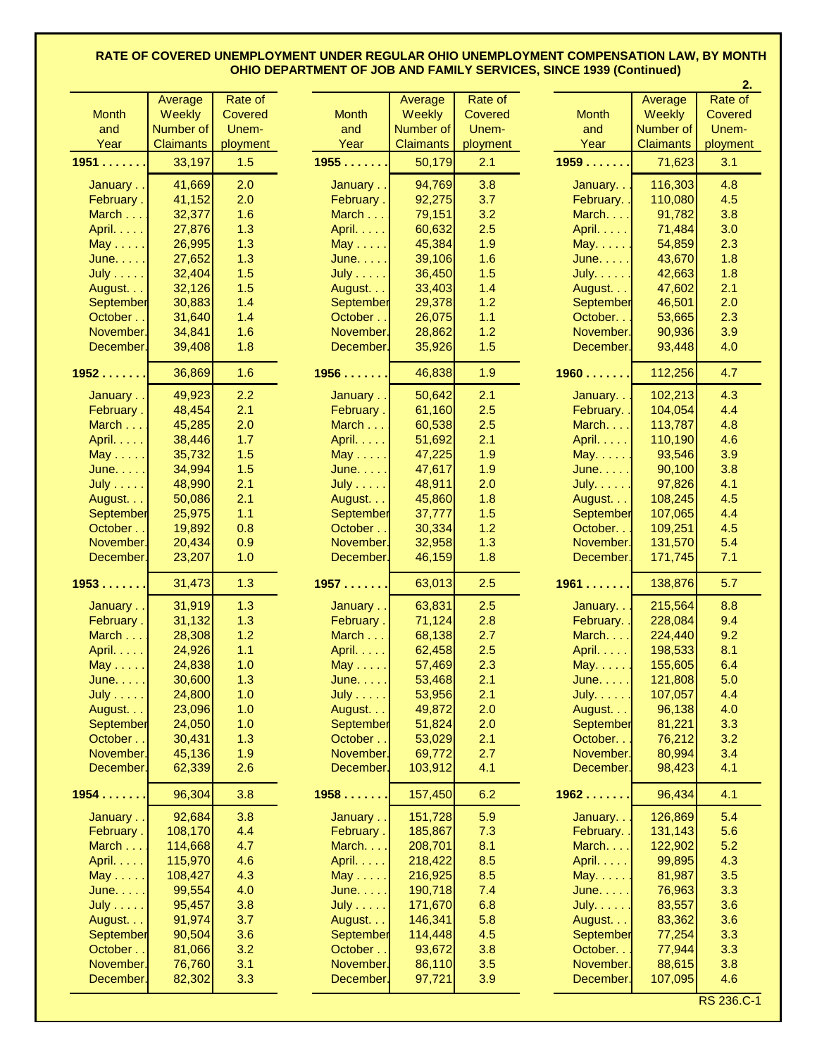|                  |                  |                |                 |                  |            |                  |                  | 2.       |
|------------------|------------------|----------------|-----------------|------------------|------------|------------------|------------------|----------|
|                  | Average          | Rate of        |                 | Average          | Rate of    |                  | Average          | Rate of  |
| <b>Month</b>     | <b>Weekly</b>    | <b>Covered</b> | <b>Month</b>    | <b>Weekly</b>    | Covered    | <b>Month</b>     | <b>Weekly</b>    | Covered  |
| and              | Number of        | Unem-          | and             | Number of        | Unem-      | and              | Number of        | Unem-    |
| Year             | <b>Claimants</b> | ployment       | Year            | <b>Claimants</b> | ployment   | Year             | <b>Claimants</b> | ployment |
| 1951             | 33,197           | 1.5            | 1955            | 50,179           | 2.1        | 1959             | 71,623           | 3.1      |
|                  |                  |                |                 |                  |            |                  |                  |          |
| January          | 41,669           | 2.0            | January         | 94,769           | 3.8        | January          | 116,303          | 4.8      |
| February.        | 41,152           | 2.0            | February.       | 92,275           | 3.7        | February.        | 110,080          | 4.5      |
| March            | 32,377           | 1.6            | March           | 79,151           | 3.2        | March.           | 91,782           | 3.8      |
| April.           | 27,876           | 1.3            | April.          | 60,632           | 2.5        | April.           | 71,484           | 3.0      |
| $May \dots$ .    | 26,995           | 1.3            | $May \ldots$ .  | 45,384           | 1.9        | $May. \ldots$ .  | 54,859           | 2.3      |
| June.            | 27,652           | 1.3            | June.           | 39,106           | 1.6        | June.            | 43,670           | 1.8      |
| $July \dots .$   | 32,404           | 1.5            | <b>July</b>     | 36,450           | 1.5        | July.            | 42,663           | 1.8      |
| August.          | 32,126           | 1.5            | August.         | 33,403           | 1.4        | August.          | 47,602           | 2.1      |
| <b>September</b> | 30,883           | 1.4            | September       | 29,378           | 1.2        | September        | 46,501           | 2.0      |
| October          | 31,640           | 1.4            | October         | 26,075           | 1.1        | October          | 53,665           | 2.3      |
| November.        | 34,841           | 1.6            | November.       | 28,862           | 1.2        | November.        | 90,936           | 3.9      |
| December.        | 39,408           | 1.8            | December.       | 35,926           | 1.5        | December.        | 93,448           | 4.0      |
|                  |                  |                |                 |                  |            |                  |                  |          |
| 1952             | 36,869           | 1.6            | 1956            | 46,838           | 1.9        | 1960             | 112,256          | 4.7      |
|                  |                  | 2.2            |                 | 50,642           |            |                  | 102,213          | 4.3      |
| January          | 49,923<br>48,454 | 2.1            | January         | 61,160           | 2.1<br>2.5 | January          | 104,054          |          |
| February.        |                  |                | February.       |                  |            | February.        |                  | 4.4      |
| March            | 45,285           | 2.0            | March           | 60,538           | 2.5        | March. $\ldots$  | 113,787          | 4.8      |
| April.           | 38,446           | 1.7            | April.          | 51,692           | 2.1        | April.           | 110,190          | 4.6      |
| $May \ldots$ .   | 35,732           | 1.5            | $May \ldots$ .  | 47,225           | 1.9        | $May. \ldots$ .  | 93,546           | 3.9      |
| June.            | 34,994           | 1.5            | June.           | 47,617           | 1.9        | June.            | 90,100           | 3.8      |
| <b>July</b>      | 48,990           | 2.1            | $July \dots .$  | 48,911           | 2.0        | July. $\dots$ .  | 97,826           | 4.1      |
| August.          | 50,086           | 2.1            | August.         | 45,860           | 1.8        | August.          | 108,245          | 4.5      |
| September        | 25,975           | 1.1            | September       | 37,777           | 1.5        | <b>September</b> | 107,065          | 4.4      |
| October          | 19,892           | 0.8            | October         | 30,334           | 1.2        | October          | 109,251          | 4.5      |
| November.        | 20,434           | 0.9            | November.       | 32,958           | 1.3        | November.        | 131,570          | 5.4      |
| December.        | 23,207           | 1.0            | December.       | 46,159           | 1.8        | December.        | 171,745          | 7.1      |
| 1953             | 31,473           | 1.3            | 1957            | 63,013           | 2.5        | 1961             | 138,876          | 5.7      |
|                  |                  |                |                 |                  |            |                  |                  |          |
| January          | 31,919           | 1.3            | January         | 63,831           | 2.5        | January          | 215,564          | 8.8      |
| February.        | 31,132           | 1.3            | February.       | 71,124           | 2.8        | February. .      | 228,084          | 9.4      |
| March            | 28,308           | 1.2            | March           | 68,138           | 2.7        | March.           | 224,440          | 9.2      |
| April.           | 24,926           | 1.1            | April.          | 62,458           | 2.5        | April.           | 198,533          | 8.1      |
| $May \ldots$ .   | 24,838           | 1.0            | $May \ldots.$   | 57,469           | 2.3        | $May. \ldots.$   | 155,605          | 6.4      |
| June.            | 30,600           | 1.3            | June.           | 53,468           | 2.1        | June.            | 121,808          | 5.0      |
| <b>July</b>      | 24,800           | 1.0            | $July \dots$    | 53,956           | 2.1        | July.            | 107,057          | 4.4      |
| August.          | 23,096           | 1.0            | August.         | 49,872           | 2.0        | August.          | 96,138           | 4.0      |
| September        | 24,050           | 1.0            | September       | 51,824           | 2.0        | September        | 81,221           | 3.3      |
| October          | 30,431           | 1.3            | October         | 53,029           | 2.1        | October          | 76,212           | 3.2      |
| November.        | 45,136           | 1.9            | November.       | 69,772           | 2.7        | November.        | 80,994           | 3.4      |
| December.        | 62,339           | 2.6            | December.       | 103,912          | 4.1        | December.        | 98,423           | 4.1      |
| 1954             | 96,304           | 3.8            | 1958            | 157,450          | 6.2        | 1962             | 96,434           | 4.1      |
|                  |                  |                |                 |                  |            |                  |                  |          |
| January          | 92,684           | 3.8            | January         | 151,728          | 5.9        | January          | 126,869          | 5.4      |
| February.        | 108,170          | 4.4            | February.       | 185,867          | 7.3        | February. .      | 131,143          | 5.6      |
| March            | 114,668          | 4.7            | March. $\ldots$ | 208,701          | 8.1        | March.           | 122,902          | 5.2      |
| April.           | 115,970          | 4.6            | April.          | 218,422          | 8.5        | April.           | 99,895           | 4.3      |
| $May \ldots$ .   | 108,427          | 4.3            | $May \dots$     | 216,925          | 8.5        | May.             | 81,987           | 3.5      |
| June.            | 99,554           | 4.0            | June.           | 190,718          | 7.4        | June.            | 76,963           | 3.3      |
| <b>July</b>      | 95,457           | 3.8            | <b>July</b> I   | 171,670          | 6.8        | July.            | 83,557           | 3.6      |
| August.          | 91,974           | 3.7            | August.         | 146,341          | 5.8        | August.          | 83,362           | 3.6      |
| September        | 90,504           | 3.6            | September       | 114,448          | 4.5        | September        | 77,254           | 3.3      |
| October          | 81,066           | 3.2            | October         | 93,672           | 3.8        | October. .       | 77,944           | 3.3      |
| November.        | 76,760           | 3.1            | November.       | 86,110           | 3.5        | November.        | 88,615           | 3.8      |
| December.        | 82,302           | 3.3            | December.       | 97,721           | 3.9        | December.        | 107,095          | 4.6      |
|                  |                  |                |                 |                  |            |                  |                  |          |

RS 236.C-1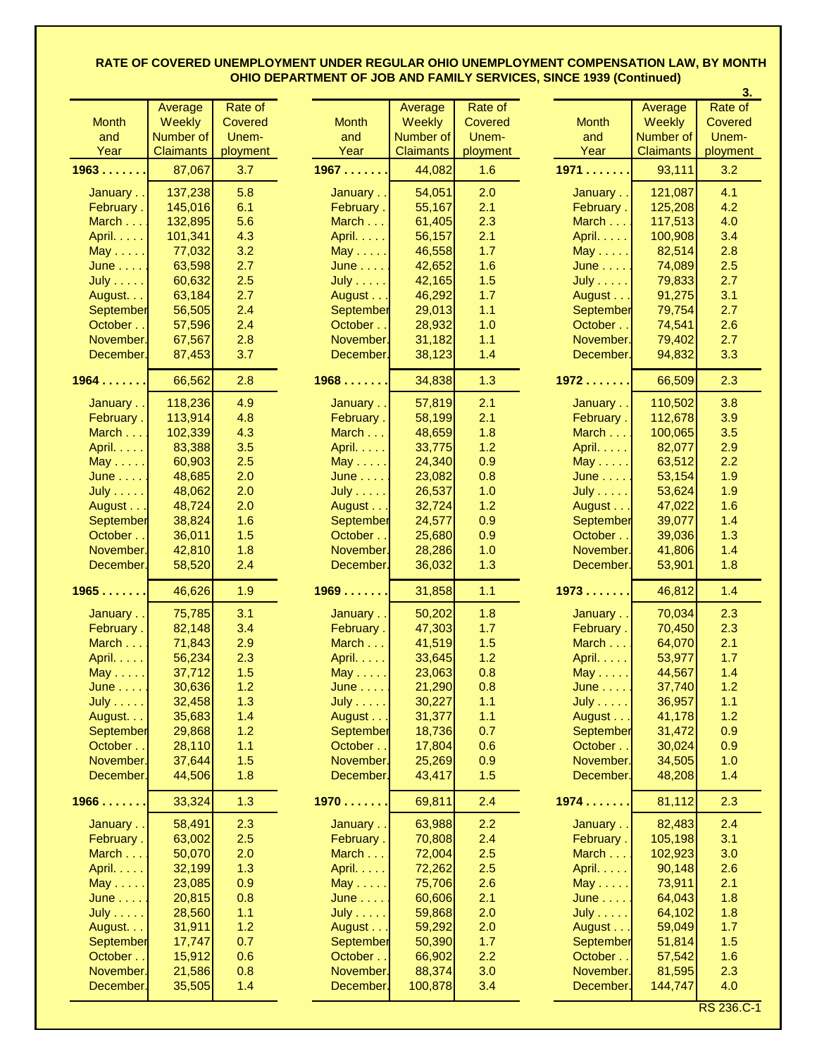|                  |                  |                |               |                  |          |                  |                  | 3.             |
|------------------|------------------|----------------|---------------|------------------|----------|------------------|------------------|----------------|
|                  | Average          | Rate of        |               | Average          | Rate of  |                  | Average          | Rate of        |
| <b>Month</b>     | Weekly           | <b>Covered</b> | <b>Month</b>  | Weekly           | Covered  | <b>Month</b>     | <b>Weekly</b>    | <b>Covered</b> |
| and              | Number of        | Unem-          | and           | Number of        | Unem-    | and              | Number of        | Unem-          |
| Year             | <b>Claimants</b> | ployment       | Year          | <b>Claimants</b> | ployment | Year             | <b>Claimants</b> | ployment       |
| 1963             | 87,067           | 3.7            | 1967          | 44,082           | 1.6      | 1971             | 93,111           | 3.2            |
|                  |                  |                |               |                  |          |                  |                  |                |
| January          | 137,238          | 5.8            | January       | 54,051           | 2.0      | January          | 121,087          | 4.1            |
| February.        | 145,016          | 6.1            | February.     | 55,167           | 2.1      | February.        | 125,208          | 4.2            |
| March            | 132,895          | 5.6            | March         | 61,405           | 2.3      | March I          | 117,513          | 4.0            |
| April.           | 101,341          | 4.3            | April.        | 56,157           | 2.1      | April.           | 100,908          | 3.4            |
| $May \dots$ .    | 77,032           | 3.2            | $May \dots$ . | 46,558           | 1.7      | $May \dots$      | 82,514           | 2.8            |
| June             | 63,598           | 2.7            | June          | 42,652           | 1.6      | June             | 74,089           | 2.5            |
| July             | 60,632           | 2.5            | July          | 42,165           | 1.5      | <b>July</b>      | 79,833           | 2.7            |
| August.          | 63,184           | 2.7            | August        | 46,292           | 1.7      | August           | 91,275           | 3.1            |
| September        | 56,505           | 2.4            | September     | 29,013           | 1.1      | September        | 79,754           | 2.7            |
| October.         | 57,596           | 2.4            | October       | 28,932           | 1.0      | October          | 74,541           | 2.6            |
| November.        | 67,567           | 2.8            | November.     | 31,182           | 1.1      | November.        | 79,402           | 2.7            |
| December.        | 87,453           | 3.7            | December.     | 38,123           | 1.4      | December.        | 94,832           | 3.3            |
|                  |                  |                |               |                  |          |                  |                  |                |
| 1964             | 66,562           | 2.8            | 1968          | 34,838           | 1.3      | 1972             | 66,509           | 2.3            |
| January          | 118,236          | 4.9            | January       | 57,819           | 2.1      | January.         | 110,502          | 3.8            |
| February.        | 113,914          | 4.8            | February.     | 58,199           | 2.1      | February.        | 112,678          | 3.9            |
| March            | 102,339          | 4.3            | March         | 48,659           | 1.8      | March            | 100,065          | 3.5            |
| April.           | 83,388           | 3.5            | April.        | 33,775           | 1.2      | April.           | 82,077           | 2.9            |
| $May \ldots$ .   | 60,903           | 2.5            | May           | 24,340           | 0.9      | $May \ldots$ .   | 63,512           | 2.2            |
| June             | 48,685           | 2.0            | June          | 23,082           | 0.8      | June             | 53,154           | 1.9            |
| <b>July</b>      | 48,062           | 2.0            | July          | 26,537           | 1.0      | July             | 53,624           | 1.9            |
| August           | 48,724           | 2.0            | August        | 32,724           | 1.2      | August           | 47,022           | 1.6            |
| <b>September</b> | 38,824           | 1.6            | September     | 24,577           | 0.9      | September        | 39,077           | 1.4            |
| October.         | 36,011           | 1.5            | October       | 25,680           | 0.9      | October          | 39,036           | 1.3            |
| November.        | 42,810           | 1.8            | November.     | 28,286           | 1.0      | November.        | 41,806           | 1.4            |
| December.        | 58,520           | 2.4            | December.     | 36,032           | 1.3      | December.        | 53,901           | 1.8            |
|                  |                  |                |               |                  |          |                  |                  |                |
| 1965             | 46,626           | 1.9            | 1969          | 31,858           | 1.1      | 1973             | 46,812           | 1.4            |
| January          | 75,785           | 3.1            | January       | 50,202           | 1.8      | January          | 70,034           | 2.3            |
| February.        | 82,148           | 3.4            | February.     | 47,303           | 1.7      | February.        | 70,450           | 2.3            |
| March            | 71,843           | 2.9            | March         | 41,519           | 1.5      | March $\dots$    | 64,070           | 2.1            |
| April.           | 56,234           | 2.3            | April.        | 33,645           | 1.2      | April.           | 53,977           | 1.7            |
| $May \dots$ .    | 37,712           | 1.5            | $May \dots$ . | 23,063           | 0.8      | $May \dots$ .    | 44,567           | 1.4            |
| June             | 30,636           | 1.2            | June          | 21,290           | 0.8      | June             | 37,740           | 1.2            |
| July             | 32,458           | 1.3            | <b>July</b>   | 30,227           | 1.1      | July             | 36,957           | 1.1            |
| August.          | 35,683           | 1.4            | August        | 31,377           | 1.1      | August           | 41,178           | 1.2            |
| <b>September</b> | 29,868           | 1.2            | September     | 18,736           | 0.7      | September        | 31,472           | 0.9            |
| October          | 28,110           | 1.1            | October       | 17,804           | 0.6      | October          | 30,024           | 0.9            |
| November.        | 37,644           | 1.5            | November.     | 25,269           | 0.9      | November.        | 34,505           | 1.0            |
| December.        | 44,506           | 1.8            | December.     | 43,417           | 1.5      | December.        | 48,208           | 1.4            |
|                  |                  |                |               |                  |          |                  |                  |                |
| 1966             | 33,324           | 1.3            | 1970          | 69,811           | 2.4      | 1974             | 81,112           | 2.3            |
| January          | 58,491           | 2.3            | January       | 63,988           | 2.2      | January          | 82,483           | 2.4            |
| February.        | 63,002           | 2.5            | February.     | 70,808           | 2.4      | February.        | 105,198          | 3.1            |
| March            | 50,070           | 2.0            | March         | 72,004           | 2.5      | March            | 102,923          | 3.0            |
| April.           | 32,199           | 1.3            | April.        | 72,262           | 2.5      | April. $\dots$ . | 90,148           | 2.6            |
| $May \dots$      | 23,085           | 0.9            | May           | 75,706           | 2.6      | $May \ldots$     | 73,911           | 2.1            |
| June             | 20,815           | 0.8            | June          | 60,606           | 2.1      | June             | 64,043           | 1.8            |
| July             | 28,560           | 1.1            | July          | 59,868           | 2.0      | <b>July</b>      | 64,102           | 1.8            |
| August.          | 31,911           | 1.2            | August        | 59,292           | 2.0      | August           | 59,049           | 1.7            |
| September        | 17,747           | 0.7            | September     | 50,390           | 1.7      | September        | 51,814           | 1.5            |
| October          | 15,912           | 0.6            | October       | 66,902           | 2.2      | October          | 57,542           | 1.6            |
| November.        | 21,586           | 0.8            | November.     | 88,374           | 3.0      | November.        | 81,595           | 2.3            |
|                  |                  |                |               |                  |          | December.        |                  |                |
| December.        | 35,505           | 1.4            | December.     | 100,878          | 3.4      |                  | 144,747          | 4.0            |

RS 236.C-1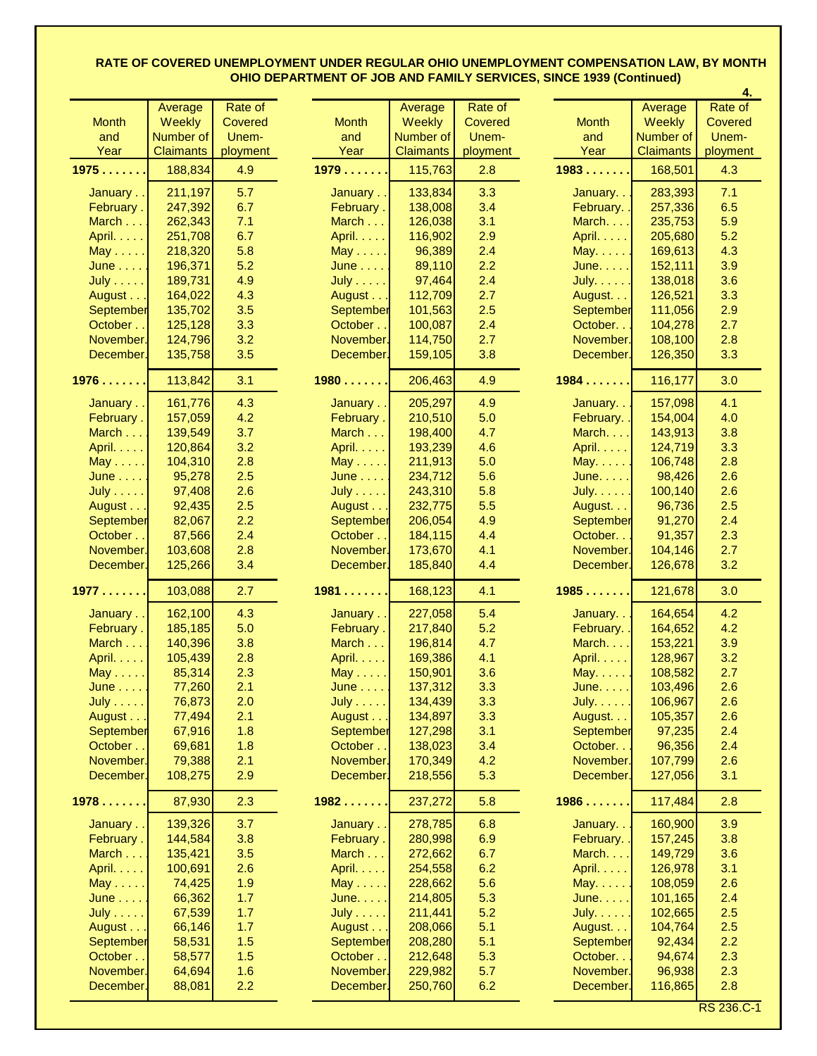|               |                  |                |                  |                  |          |                  |                  | 4.             |
|---------------|------------------|----------------|------------------|------------------|----------|------------------|------------------|----------------|
|               | Average          | Rate of        |                  | Average          | Rate of  |                  | Average          | Rate of        |
| <b>Month</b>  | <b>Weekly</b>    | <b>Covered</b> | <b>Month</b>     | <b>Weekly</b>    | Covered  | <b>Month</b>     | <b>Weekly</b>    | <b>Covered</b> |
| and           | Number of        | Unem-          | and              | Number of        | Unem-    | and              | Number of        | Unem-          |
| Year          | <b>Claimants</b> | ployment       | Year             | <b>Claimants</b> | ployment | Year             | <b>Claimants</b> | ployment       |
| 1975          | 188,834          | 4.9            | 1979             | 115,763          | 2.8      | 1983             | 168,501          | 4.3            |
|               |                  |                |                  |                  |          |                  |                  |                |
| January       | 211,197          | 5.7            | January          | 133,834          | 3.3      | January          | 283,393          | 7.1            |
| February.     | 247,392          | 6.7            | February.        | 138,008          | 3.4      | February. .      | 257,336          | 6.5            |
| March         | 262,343          | 7.1            | March            | 126,038          | 3.1      | March.           | 235,753          | 5.9            |
| April.        | 251,708          | 6.7            | April.           | 116,902          | 2.9      | April.           | 205,680          | 5.2            |
| $May \dots$ . | 218,320          | 5.8            | $May \dots$ .    | 96,389           | 2.4      | May.             | 169,613          | 4.3            |
| June          | 196,371          | 5.2            | June             | 89,110           | 2.2      | June.            | 152,111          | 3.9            |
| <b>July</b>   | 189,731          | 4.9            | $July \dots .$   | 97,464           | 2.4      | July. $\ldots$ . | 138,018          | 3.6            |
| August        | 164,022          | 4.3            | August           | 112,709          | 2.7      | August.          | 126,521          | 3.3            |
| September     | 135,702          | 3.5            | September        | 101,563          | 2.5      | September        | 111,056          | 2.9            |
| October       | 125,128          | 3.3            | October          | 100,087          | 2.4      | October          | 104,278          | 2.7            |
| November.     | 124,796          | 3.2            | November.        | 114,750          | 2.7      | November.        | 108,100          | 2.8            |
| December.     | 135,758          | 3.5            | December.        | 159,105          | 3.8      | December.        | 126,350          | 3.3            |
|               |                  |                |                  |                  |          |                  |                  |                |
| 1976          | 113,842          | 3.1            | 1980             | 206,463          | 4.9      | 1984             | 116,177          | 3.0            |
| January       | 161,776          | 4.3            | January          | 205,297          | 4.9      | January          | 157,098          | 4.1            |
| February.     | 157,059          | 4.2            | February.        | 210,510          | 5.0      | February.        | 154,004          | 4.0            |
| March         | 139,549          | 3.7            | March            | 198,400          | 4.7      | March.           | 143,913          | 3.8            |
| April.        | 120,864          | 3.2            | April.           | 193,239          | 4.6      | April.           | 124,719          | 3.3            |
| $May \dots$ . | 104,310          | 2.8            | $May \ldots$ .   | 211,913          | 5.0      | May.             | 106,748          | 2.8            |
| June          | 95,278           | 2.5            | June             | 234,712          | 5.6      | June.            | 98,426           | 2.6            |
| <b>July</b>   | 97,408           | 2.6            | $July \dots .$   | 243,310          | 5.8      | July. $\ldots$ . | 100, 140         | 2.6            |
| August        | 92,435           | 2.5            | August           | 232,775          | 5.5      | August.          | 96,736           | 2.5            |
| September     | 82,067           | 2.2            | <b>September</b> | 206,054          | 4.9      | <b>September</b> | 91,270           | 2.4            |
| October       | 87,566           | 2.4            | October          | 184,115          | 4.4      | October          | 91,357           | 2.3            |
|               |                  |                |                  |                  |          |                  |                  |                |
| November.     | 103,608          | 2.8            | November.        | 173,670          | 4.1      | November.        | 104,146          | 2.7            |
| December.     | 125,266          | 3.4            | December.        | 185,840          | 4.4      | December.        | 126,678          | 3.2            |
| 1977          | 103,088          | 2.7            | 1981             | 168,123          | 4.1      | 1985             | 121,678          | 3.0            |
| January       | 162,100          | 4.3            | January          | 227,058          | 5.4      | January          | 164,654          | 4.2            |
| February.     | 185,185          | 5.0            | February.        | 217,840          | 5.2      | February. .      | 164,652          | 4.2            |
| March         | 140,396          | 3.8            | March $\dots$    | 196,814          | 4.7      | March. $\ldots$  | 153,221          | 3.9            |
| April.        | 105,439          | 2.8            | April.           | 169,386          | 4.1      | April.           | 128,967          | 3.2            |
| $May \dots$ . | 85,314           | 2.3            | $May \ldots$ .   | 150,901          | 3.6      | $May. \ldots.$   | 108,582          | 2.7            |
| June          | 77,260           | 2.1            | $June \ldots$ .  | 137,312          | 3.3      | June.            | 103,496          | 2.6            |
| <b>July</b>   | 76,873           | 2.0            | July             | 134,439          | 3.3      | July.            | 106,967          | 2.6            |
| August        | 77,494           | 2.1            | August           | 134,897          | 3.3      | August           | 105,357          | 2.6            |
| September     | 67,916           | 1.8            | <b>September</b> | 127,298          | 3.1      | September        | 97,235           | 2.4            |
| October       | 69,681           | 1.8            | October          | 138,023          | 3.4      | October          | 96,356           | 2.4            |
| November.     | 79,388           | 2.1            | November.        | 170,349          | 4.2      | November.        | 107,799          | 2.6            |
| December.     | 108,275          | 2.9            | December.        | 218,556          | 5.3      | December.        | 127,056          | 3.1            |
|               |                  |                |                  |                  |          |                  |                  |                |
| 1978          | 87,930           | 2.3            | 1982             | 237,272          | 5.8      | $1986$           | 117,484          | 2.8            |
| January       | 139,326          | 3.7            | January          | 278,785          | 6.8      | January          | 160,900          | 3.9            |
| February.     | 144,584          | 3.8            | February.        | 280,998          | 6.9      | February. .      | 157,245          | 3.8            |
| March         | 135,421          | 3.5            | March            | 272,662          | 6.7      | March.           | 149,729          | 3.6            |
| April.        | 100,691          | 2.6            | April.           | 254,558          | 6.2      | April.           | 126,978          | 3.1            |
| $May \dots$   | 74,425           | 1.9            | $May \ldots$     | 228,662          | 5.6      | $May. \ldots.$   | 108,059          | 2.6            |
| June          | 66,362           | 1.7            | June.            | 214,805          | 5.3      | June.            | 101,165          | 2.4            |
| July          | 67,539           | 1.7            | July             | 211,441          | 5.2      | July.            | 102,665          | 2.5            |
| August        | 66,146           | 1.7            | August           | 208,066          | 5.1      | August.          | 104,764          | 2.5            |
| September     | 58,531           | 1.5            | September        | 208,280          | 5.1      | September        | 92,434           | 2.2            |
| October       | 58,577           | 1.5            | October          | 212,648          | 5.3      | October          | 94,674           | 2.3            |
| November.     | 64,694           | 1.6            | November.        | 229,982          | 5.7      | November.        | 96,938           | 2.3            |
| December.     | 88,081           | 2.2            | December.        | 250,760          | 6.2      | December.        | 116,865          | 2.8            |
|               |                  |                |                  |                  |          |                  |                  |                |

RS 236.C-1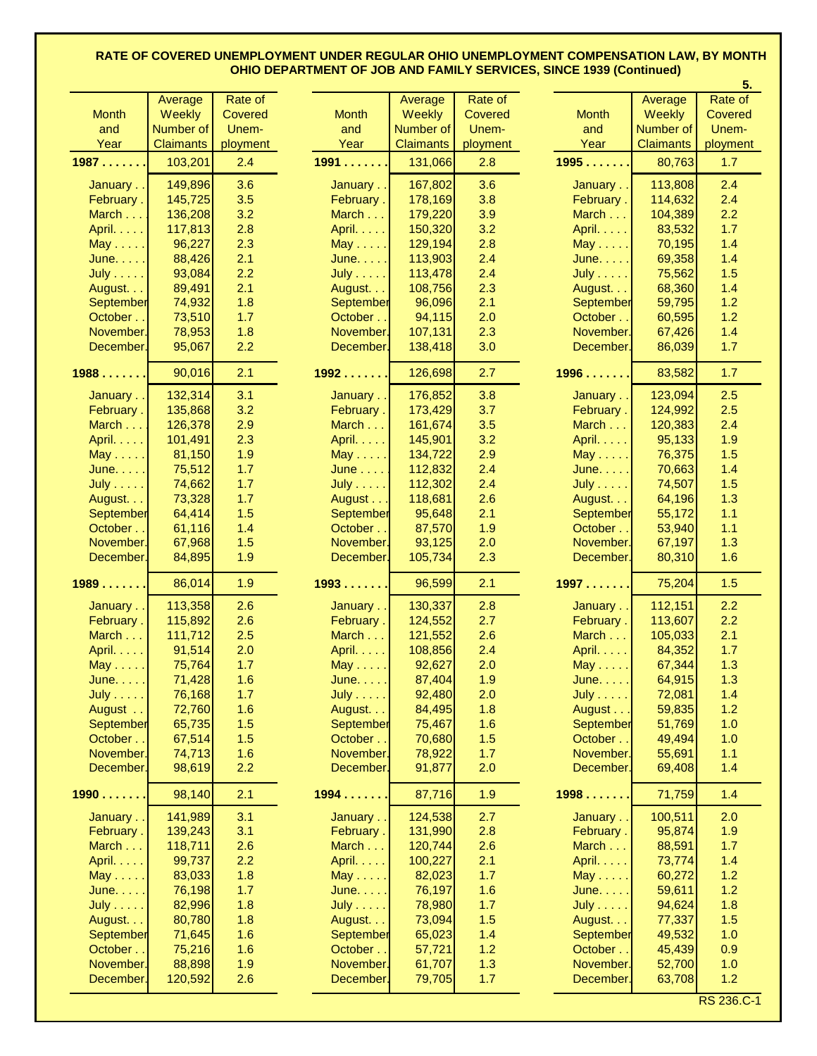|                |                  |          |                  |                  |          |                  |                  | 5.         |
|----------------|------------------|----------|------------------|------------------|----------|------------------|------------------|------------|
|                | Average          | Rate of  |                  | Average          | Rate of  |                  | Average          | Rate of    |
| <b>Month</b>   | <b>Weekly</b>    | Covered  | <b>Month</b>     | <b>Weekly</b>    | Covered  | <b>Month</b>     | <b>Weekly</b>    | Covered    |
| and            | Number of        | Unem-    | and              | Number of        | Unem-    | and              | Number of        | Unem-      |
| Year           | <b>Claimants</b> | ployment | Year             | <b>Claimants</b> | ployment | Year             | <b>Claimants</b> | ployment   |
| 1987           | 103,201          | 2.4      | 1991             | 131,066          | 2.8      | 1995             | 80,763           | 1.7        |
|                |                  |          |                  |                  |          |                  |                  |            |
| January        | 149,896          | 3.6      | January          | 167,802          | 3.6      | January          | 113,808          | 2.4        |
| February.      | 145,725          | 3.5      | February.        | 178,169          | 3.8      | February.        | 114,632          | 2.4        |
| March          | 136,208          | 3.2      | March $\dots$    | 179,220          | 3.9      | March            | 104,389          | 2.2        |
| April.         | 117,813          | 2.8      | April. $\ldots$  | 150,320          | 3.2      | April.           | 83,532           | 1.7        |
| $May \ldots$ . | 96,227           | 2.3      | $May \ldots$ .   | 129,194          | 2.8      | $May \ldots$ .   | 70,195           | 1.4        |
| June.          | 88,426           | 2.1      | June.            | 113,903          | 2.4      | June.            | 69,358           | 1.4        |
| <b>July</b>    | 93,084           | 2.2      | <b>July</b>      | 113,478          | 2.4      | <b>July</b>      | 75,562           | 1.5        |
| August         | 89,491           | 2.1      | August           | 108,756          | 2.3      | August.          | 68,360           | 1.4        |
| September      | 74,932           | 1.8      | <b>September</b> | 96,096           | 2.1      | September        | 59,795           | 1.2        |
| October        | 73,510           | 1.7      | October          | 94,115           | 2.0      | October          | 60,595           | 1.2        |
| November.      | 78,953           | 1.8      | November.        | 107,131          | 2.3      | November.        | 67,426           | 1.4        |
| December.      | 95,067           | 2.2      | December.        | 138,418          | 3.0      | December.        | 86,039           | 1.7        |
|                |                  |          |                  |                  |          |                  |                  |            |
| 1988           | 90,016           | 2.1      | 1992             | 126,698          | 2.7      | 1996             | 83,582           | 1.7        |
| January        | 132,314          | 3.1      | January          | 176,852          | 3.8      | January          | 123,094          | 2.5        |
| February.      | 135,868          | 3.2      | February.        | 173,429          | 3.7      | February.        | 124,992          | 2.5        |
| March          | 126,378          | 2.9      | March            | 161,674          | 3.5      | March            | 120,383          | 2.4        |
| April.         | 101,491          | 2.3      | April.           | 145,901          | 3.2      | April.           | 95,133           | 1.9        |
| $May \dots$    | 81,150           | 1.9      | $May \dots$ .    | 134,722          | 2.9      | $May \dots$ .    | 76,375           | 1.5        |
| June.          | 75,512           | 1.7      | June             | 112,832          | 2.4      | June.            | 70,663           | 1.4        |
| July           | 74,662           | 1.7      | $July \dots .$   | 112,302          | 2.4      | July             | 74,507           | 1.5        |
| August.        | 73,328           | 1.7      | August           | 118,681          | 2.6      | August.          | 64,196           | 1.3        |
| September      | 64,414           | 1.5      | <b>September</b> | 95,648           | 2.1      | <b>September</b> | 55,172           | $1.1$      |
| October        | 61,116           | 1.4      | October          | 87,570           | 1.9      | October          | 53,940           | 1.1        |
| November.      | 67,968           | 1.5      | November.        | 93,125           | 2.0      | November.        | 67,197           | 1.3        |
| December.      | 84,895           | 1.9      | December.        | 105,734          | 2.3      | December.        | 80,310           | 1.6        |
|                |                  |          |                  |                  |          |                  |                  |            |
| 1989           | 86,014           | 1.9      | 1993             | 96,599           | 2.1      | 1997             | 75,204           | 1.5        |
| January        | 113,358          | 2.6      | January          | 130,337          | 2.8      | January          | 112,151          | 2.2        |
| February.      | 115,892          | 2.6      | February.        | 124,552          | 2.7      | February.        | 113,607          | 2.2        |
| March          | 111,712          | 2.5      | March            | 121,552          | 2.6      | March            | 105,033          | 2.1        |
| April.         | 91,514           | 2.0      | April. $\ldots$  | 108,856          | 2.4      | April.           | 84,352           | 1.7        |
| $May \ldots$ . | 75,764           | 1.7      | $May \ldots$ .   | 92,627           | 2.0      | $May \dots$      | 67,344           | 1.3        |
| June.          | 71,428           | 1.6      | June.            | 87,404           | 1.9      | June.            | 64,915           | 1.3        |
| <b>July</b>    | 76,168           | 1.7      | $July \dots$     | 92,480           | 2.0      | July             | 72,081           | 1.4        |
| August         | 72,760           | 1.6      | August.          | 84,495           | 1.8      | August           | 59,835           | 1.2        |
| September      | 65,735           | 1.5      | September        | 75,467           | 1.6      | September        | 51,769           | 1.0        |
| October        | 67,514           | 1.5      | October          | 70,680           | 1.5      | October          | 49,494           | 1.0        |
| November.      | 74,713           | 1.6      | November.        | 78,922           | 1.7      | November.        | 55,691           | 1.1        |
| December.      | 98,619           | 2.2      | December.        | 91,877           | 2.0      | December.        | 69,408           | 1.4        |
|                |                  |          |                  |                  |          |                  |                  |            |
| 1990           | 98,140           | 2.1      | 1994             | 87,716           | 1.9      | 1998             | 71,759           | 1.4        |
| January        | 141,989          | 3.1      | January          | 124,538          | 2.7      | January          | 100,511          | 2.0        |
| February.      | 139,243          | 3.1      | February.        | 131,990          | 2.8      | February.        | 95,874           | 1.9        |
| March          | 118,711          | 2.6      | March            | 120,744          | 2.6      | March            | 88,591           | 1.7        |
| April.         | 99,737           | 2.2      | April.           | 100,227          | 2.1      | April.           | 73,774           | 1.4        |
| $May \ldots$ . | 83,033           | 1.8      | $May \dots$ .    | 82,023           | 1.7      | $May \dots$      | 60,272           | 1.2        |
| June.          | 76,198           | 1.7      | June.            | 76,197           | 1.6      | June.            | 59,611           | 1.2        |
| <b>July</b>    | 82,996           | 1.8      | <b>July</b>      | 78,980           | 1.7      | <b>July</b>      | 94,624           | 1.8        |
| August.        | 80,780           | 1.8      | August.          | 73,094           | 1.5      | August.          | 77,337           | 1.5        |
| September      | 71,645           | 1.6      | September        | 65,023           | 1.4      | September        | 49,532           | 1.0        |
| October.       | 75,216           | 1.6      | October.         | 57,721           | 1.2      | October          | 45,439           | 0.9        |
| November.      | 88,898           | 1.9      | November.        | 61,707           | 1.3      | November.        | 52,700           | 1.0        |
| December.      | 120,592          | 2.6      | December.        | 79,705           | 1.7      | December.        | 63,708           | 1.2        |
|                |                  |          |                  |                  |          |                  |                  |            |
|                |                  |          |                  |                  |          |                  |                  | RS 236.C-1 |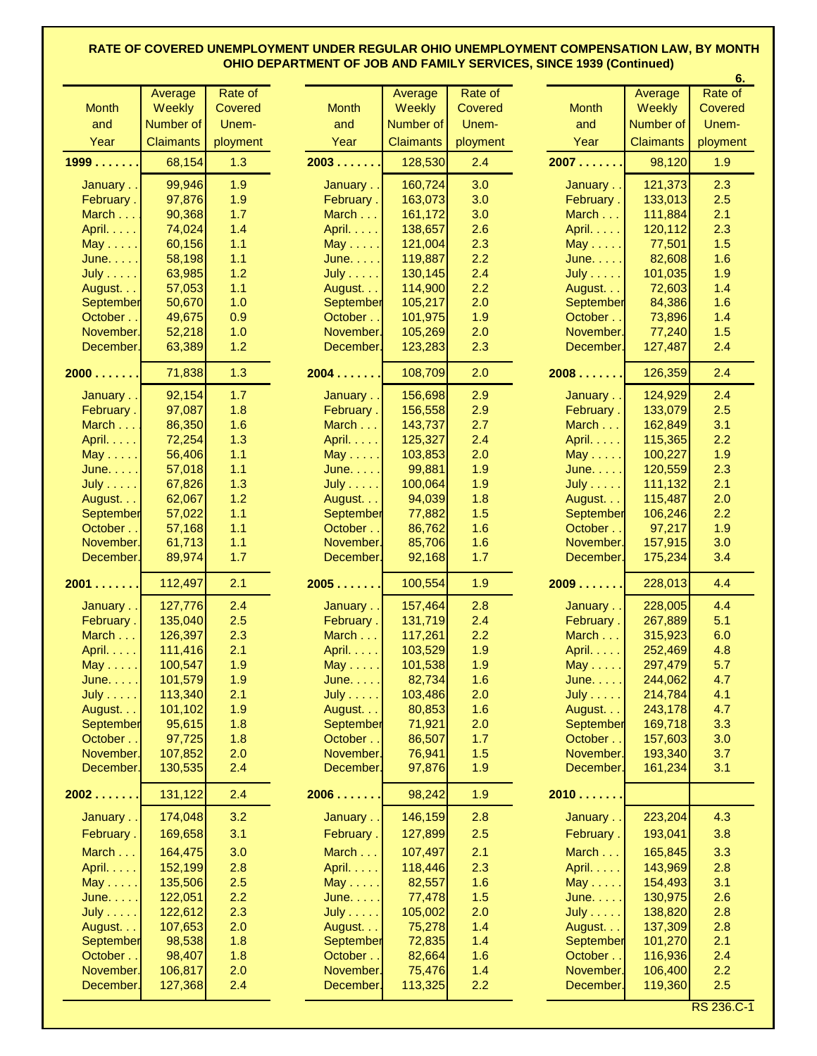|                   |                  |          |                |                  |                |                  |                  | 6.             |
|-------------------|------------------|----------|----------------|------------------|----------------|------------------|------------------|----------------|
|                   | Average          | Rate of  |                | Average          | Rate of        |                  | Average          | Rate of        |
| <b>Month</b>      | Weekly           | Covered  | <b>Month</b>   | <b>Weekly</b>    | <b>Covered</b> | <b>Month</b>     | Weekly           | <b>Covered</b> |
| and               | Number of        | Unem-    | and            | Number of        | Unem-          | and              | Number of        | Unem-          |
| Year              | <b>Claimants</b> | ployment | Year           | <b>Claimants</b> | ployment       | Year             | <b>Claimants</b> | ployment       |
| 1999              | 68,154           | 1.3      | 2003           | 128,530          | 2.4            | 2007             | 98,120           | 1.9            |
| January           | 99,946           | 1.9      | January        | 160,724          | 3.0            | January          | 121,373          | 2.3            |
| February.         | 97,876           | 1.9      | February.      | 163,073          | 3.0            | February.        | 133,013          | 2.5            |
| March I           | 90,368           | 1.7      | March          | 161,172          | 3.0            | March $\dots$    | 111,884          | 2.1            |
| April.            | 74,024           | 1.4      | April.         | 138,657          | 2.6            | April. $\dots$ . | 120,112          | 2.3            |
| $May \ldots$ .    | 60,156           | 1.1      | $May \dots$ .  | 121,004          | 2.3            | $May \dots$ .    | 77,501           | 1.5            |
| June.             | 58,198           | 1.1      | June.          | 119,887          | 2.2            | June.            | 82,608           | 1.6            |
| <b>July</b>       | 63,985           | 1.2      | $July \dots$ . | 130,145          | 2.4            | $July \dots .$   | 101,035          | 1.9            |
| August.           | 57,053           | 1.1      | August         | 114,900          | 2.2            | August.          | 72,603           | 1.4            |
| <b>September</b>  | 50,670           | 1.0      | September      | 105,217          | 2.0            | <b>September</b> | 84,386           | 1.6            |
| October.          | 49,675           | 0.9      | October        | 101,975          | 1.9            | October          | 73,896           | 1.4            |
| November.         | 52,218           | 1.0      | November.      | 105,269          | 2.0            | November.        | 77,240           | 1.5            |
|                   |                  |          |                |                  |                |                  |                  |                |
| December.         | 63,389           | 1.2      | December.      | 123,283          | 2.3            | December.        | 127,487          | 2.4            |
| 2000              | 71,838           | 1.3      | 2004           | 108,709          | 2.0            | 2008             | 126,359          | 2.4            |
| January           | 92,154           | 1.7      | January        | 156,698          | 2.9            | January          | 124,929          | 2.4            |
| February.         | 97,087           | 1.8      | February.      | 156,558          | 2.9            | February.        | 133,079          | 2.5            |
| March I           | 86,350           | 1.6      | March          | 143,737          | 2.7            | March            | 162,849          | 3.1            |
| April.            | 72,254           | 1.3      | April.         | 125,327          | 2.4            | April.           | 115,365          | 2.2            |
| $May \ldots$ .    | 56,406           | $1.1$    | $May \ldots$ . | 103,853          | 2.0            | $May \dots$ .    | 100,227          | 1.9            |
| June.             | 57,018           | 1.1      | June.          | 99,881           | 1.9            | June.            | 120,559          | 2.3            |
| July              | 67,826           | 1.3      | $July \dots$ . | 100,064          | 1.9            | $July \dots$     | 111,132          | 2.1            |
| August            | 62,067           | 1.2      | August         | 94,039           | 1.8            | August           | 115,487          | 2.0            |
| September         | 57,022           | $1.1$    | September      | 77,882           | 1.5            | <b>September</b> | 106,246          | 2.2            |
| October           | 57,168           | $1.1$    | October        | 86,762           | 1.6            | October          | 97,217           | 1.9            |
| November.         | 61,713           | 1.1      | November.      | 85,706           | 1.6            | November.        | 157,915          | 3.0            |
| December.         | 89,974           | 1.7      | December.      | 92,168           | 1.7            | December.        | 175,234          | 3.4            |
|                   |                  |          |                |                  |                |                  |                  |                |
| 2001              | 112,497          | 2.1      | 2005           | 100,554          | 1.9            | 2009             | 228,013          | 4.4            |
| January           | 127,776          | 2.4      | January        | 157,464          | 2.8            | January          | 228,005          | 4.4            |
| February.         | 135,040          | 2.5      | February.      | 131,719          | 2.4            | February.        | 267,889          | 5.1            |
| March . $\vert$ . | 126,397          | 2.3      | March $\dots$  | 117,261          | 2.2            | March $\dots$    | 315,923          | 6.0            |
| April. $\ldots$   | 111,416          | 2.1      | April.         | 103,529          | 1.9            | April.           | 252,469          | 4.8            |
| May $\dots$ .     | 100,547          | 1.9      | $May \dots$    | 101,538          | 1.9            | $May \dots$      | 297,479          | 5.7            |
| June.             | 101,579          | 1.9      | June.          | 82,734           | 1.6            | June.            | 244,062          | 4.7            |
| July ]            | 113,340          | 2.1      | <b>July</b>    | 103,486          | 2.0            | $July \dots .$   | 214,784          | 4.1            |
| August.           | 101,102          | 1.9      | August         | 80,853           | 1.6            | August.          | 243,178          | 4.7            |
| <b>September</b>  | 95,615           | 1.8      | September      | 71,921           | 2.0            | <b>September</b> | 169,718          | 3.3            |
| October           | 97,725           | 1.8      | October        | 86,507           | 1.7            | October          | 157,603          | 3.0            |
| November.         | 107,852          | 2.0      | November.      | 76,941           | 1.5            | November.        | 193,340          | 3.7            |
| December.         | 130,535          | 2.4      | December.      | 97,876           | 1.9            | December.        | 161,234          | 3.1            |
| 2002              | 131,122          | 2.4      | 2006           | 98,242           | 1.9            | 2010             |                  |                |
| January           | 174,048          | 3.2      | January        | 146,159          | 2.8            | January          | 223,204          | 4.3            |
| February.         | 169,658          | 3.1      | February.      | 127,899          | 2.5            | February.        | 193,041          | 3.8            |
| March             | 164,475          | 3.0      | March          | 107,497          | 2.1            | March            | 165,845          | 3.3            |
| April.            | 152,199          | 2.8      | April.         | 118,446          | 2.3            | April.           | 143,969          | 2.8            |
| $May \ldots$ .    | 135,506          | 2.5      | $May \ldots$   | 82,557           | 1.6            | $May \ldots$     | 154,493          | 3.1            |
| June.             | 122,051          | 2.2      | June.          | 77,478           | 1.5            | June.            | 130,975          | 2.6            |
| July              | 122,612          | 2.3      | $July \dots$ . | 105,002          | 2.0            | $July \dots .$   | 138,820          | 2.8            |
| August            | 107,653          | 2.0      | August         | 75,278           | 1.4            | August.          | 137,309          | 2.8            |
| September         | 98,538           | 1.8      | September      | 72,835           | 1.4            | <b>September</b> | 101,270          | 2.1            |
| October           | 98,407           | 1.8      | October.       | 82,664           | 1.6            | October.         | 116,936          | 2.4            |
| November.         | 106,817          | 2.0      | November.      | 75,476           | 1.4            | November.        | 106,400          | 2.2            |
| December.         | 127,368          | 2.4      | December.      | 113,325          | 2.2            | December.        | 119,360          | 2.5            |
|                   |                  |          |                |                  |                |                  |                  |                |

RS 236.C-1